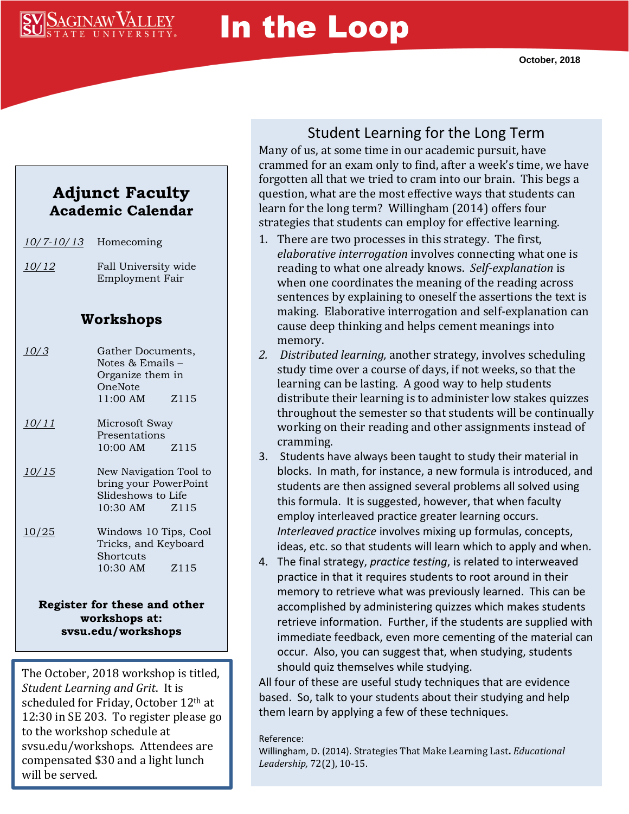## **SAGINAW VALLEY**

# In the Loop

#### **Adjunct Faculty Academic Calendar**

| <u>10/7-10/13</u>            | Homecoming                                                                             |      |
|------------------------------|----------------------------------------------------------------------------------------|------|
| 10/12                        | Fall University wide<br><b>Employment Fair</b>                                         |      |
| Workshops                    |                                                                                        |      |
| 10/3                         | Gather Documents,<br>Notes $\&$ Emails $-$<br>Organize them in<br>OneNote<br>11:00 AM  | Z115 |
| <u>10/11</u>                 | Microsoft Sway<br>Presentations<br>10:00 AM Z115                                       |      |
| <u>10/15</u>                 | New Navigation Tool to<br>bring your PowerPoint<br>Slideshows to Life<br>10:30 AM Z115 |      |
| 10/25                        | Windows 10 Tips, Cool<br>Tricks, and Keyboard<br>Shortcuts<br>10:30 AM Z115            |      |
| Register for these and other |                                                                                        |      |

**workshops at: svsu.edu/workshops**

The October, 2018 workshop is titled, *Student Learning and Grit*. It is scheduled for Friday, October 12th at 12:30 in SE 203. To register please go to the workshop schedule at svsu.edu/workshops. Attendees are compensated \$30 and a light lunch will be served.

### Student Learning for the Long Term

Many of us, at some time in our academic pursuit, have crammed for an exam only to find, after a week's time, we have forgotten all that we tried to cram into our brain. This begs a question, what are the most effective ways that students can learn for the long term? Willingham (2014) offers four strategies that students can employ for effective learning.

- 1. There are two processes in this strategy. The first, *elaborative interrogation* involves connecting what one is reading to what one already knows. *Self-explanation* is when one coordinates the meaning of the reading across sentences by explaining to oneself the assertions the text is making. Elaborative interrogation and self-explanation can cause deep thinking and helps cement meanings into memory.
- *2. Distributed learning,* another strategy, involves scheduling study time over a course of days, if not weeks, so that the learning can be lasting. A good way to help students distribute their learning is to administer low stakes quizzes throughout the semester so that students will be continually working on their reading and other assignments instead of cramming.
- 3. Students have always been taught to study their material in blocks. In math, for instance, a new formula is introduced, and students are then assigned several problems all solved using this formula. It is suggested, however, that when faculty employ interleaved practice greater learning occurs. *Interleaved practice* involves mixing up formulas, concepts, ideas, etc. so that students will learn which to apply and when*.*
- 4. The final strategy, *practice testing*, is related to interweaved practice in that it requires students to root around in their memory to retrieve what was previously learned. This can be accomplished by administering quizzes which makes students retrieve information. Further, if the students are supplied with immediate feedback, even more cementing of the material can occur. Also, you can suggest that, when studying, students should quiz themselves while studying.

All four of these are useful study techniques that are evidence based. So, talk to your students about their studying and help them learn by applying a few of these techniques.

#### Reference:

Willingham, D. (2014). Strategies That Make Learning Last**.** *Educational Leadership,* 72(2), 10-15.